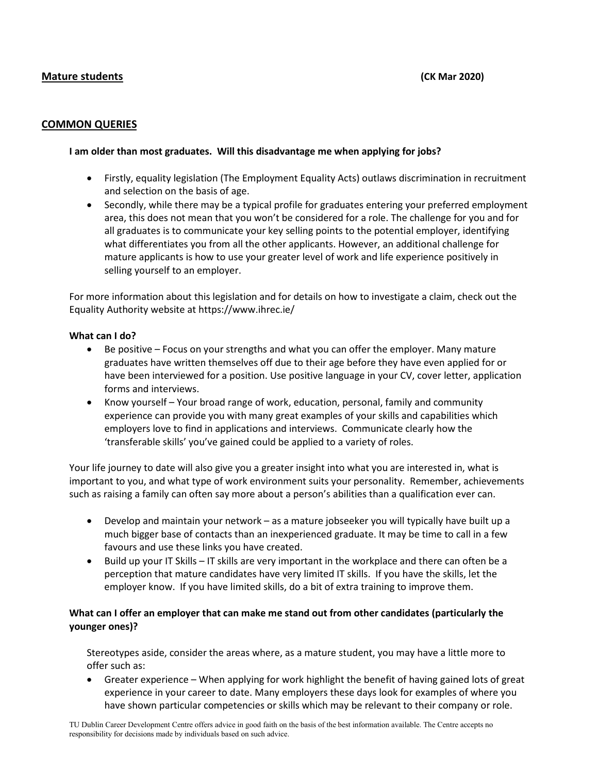## **Mature students (CK Mar 2020)**

#### **COMMON QUERIES**

#### **I am older than most graduates. Will this disadvantage me when applying for jobs?**

- Firstly, equality legislation (The Employment Equality Acts) outlaws discrimination in recruitment and selection on the basis of age.
- Secondly, while there may be a typical profile for graduates entering your preferred employment area, this does not mean that you won't be considered for a role. The challenge for you and for all graduates is to communicate your key selling points to the potential employer, identifying what differentiates you from all the other applicants. However, an additional challenge for mature applicants is how to use your greater level of work and life experience positively in selling yourself to an employer.

For more information about this legislation and for details on how to investigate a claim, check out the Equality Authority website at<https://www.ihrec.ie/>

#### **What can I do?**

- Be positive Focus on your strengths and what you can offer the employer. Many mature graduates have written themselves off due to their age before they have even applied for or have been interviewed for a position. Use positive language in your CV, cover letter, application forms and interviews.
- Know yourself Your broad range of work, education, personal, family and community experience can provide you with many great examples of your skills and capabilities which employers love to find in applications and interviews. Communicate clearly how the 'transferable skills' you've gained could be applied to a variety of roles.

Your life journey to date will also give you a greater insight into what you are interested in, what is important to you, and what type of work environment suits your personality. Remember, achievements such as raising a family can often say more about a person's abilities than a qualification ever can.

- Develop and maintain your network as a mature jobseeker you will typically have built up a much bigger base of contacts than an inexperienced graduate. It may be time to call in a few favours and use these links you have created.
- Build up your IT Skills IT skills are very important in the workplace and there can often be a perception that mature candidates have very limited IT skills. If you have the skills, let the employer know. If you have limited skills, do a bit of extra training to improve them.

## **What can I offer an employer that can make me stand out from other candidates (particularly the younger ones)?**

Stereotypes aside, consider the areas where, as a mature student, you may have a little more to offer such as:

• Greater experience – When applying for work highlight the benefit of having gained lots of great experience in your career to date. Many employers these days look for examples of where you have shown particular competencies or skills which may be relevant to their company or role.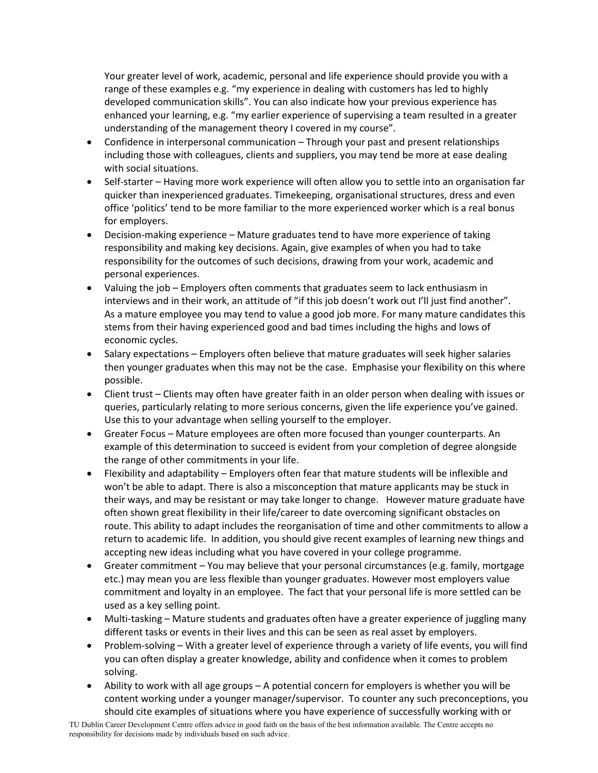Your greater level of work, academic, personal and life experience should provide you with a range of these examples e.g. "my experience in dealing with customers has led to highly developed communication skills". You can also indicate how your previous experience has enhanced your learning, e.g. "my earlier experience of supervising a team resulted in a greater understanding of the management theory I covered in my course".

- Confidence in interpersonal communication Through your past and present relationships including those with colleagues, clients and suppliers, you may tend be more at ease dealing with social situations.
- Self-starter Having more work experience will often allow you to settle into an organisation far quicker than inexperienced graduates. Timekeeping, organisational structures, dress and even office 'politics' tend to be more familiar to the more experienced worker which is a real bonus for employers.
- Decision-making experience Mature graduates tend to have more experience of taking responsibility and making key decisions. Again, give examples of when you had to take responsibility for the outcomes of such decisions, drawing from your work, academic and personal experiences.
- Valuing the job Employers often comments that graduates seem to lack enthusiasm in interviews and in their work, an attitude of "if this job doesn't work out I'll just find another". As a mature employee you may tend to value a good job more. For many mature candidates this stems from their having experienced good and bad times including the highs and lows of economic cycles.
- Salary expectations Employers often believe that mature graduates will seek higher salaries then younger graduates when this may not be the case. Emphasise your flexibility on this where possible.
- Client trust Clients may often have greater faith in an older person when dealing with issues or queries, particularly relating to more serious concerns, given the life experience you've gained. Use this to your advantage when selling yourself to the employer.
- Greater Focus Mature employees are often more focused than younger counterparts. An example of this determination to succeed is evident from your completion of degree alongside the range of other commitments in your life.
- Flexibility and adaptability Employers often fear that mature students will be inflexible and won't be able to adapt. There is also a misconception that mature applicants may be stuck in their ways, and may be resistant or may take longer to change. However mature graduate have often shown great flexibility in their life/career to date overcoming significant obstacles on route. This ability to adapt includes the reorganisation of time and other commitments to allow a return to academic life. In addition, you should give recent examples of learning new things and accepting new ideas including what you have covered in your college programme.
- Greater commitment You may believe that your personal circumstances (e.g. family, mortgage etc.) may mean you are less flexible than younger graduates. However most employers value commitment and loyalty in an employee. The fact that your personal life is more settled can be used as a key selling point.
- Multi-tasking Mature students and graduates often have a greater experience of juggling many different tasks or events in their lives and this can be seen as real asset by employers.
- Problem-solving With a greater level of experience through a variety of life events, you will find you can often display a greater knowledge, ability and confidence when it comes to problem solving.
- Ability to work with all age groups A potential concern for employers is whether you will be content working under a younger manager/supervisor. To counter any such preconceptions, you should cite examples of situations where you have experience of successfully working with or